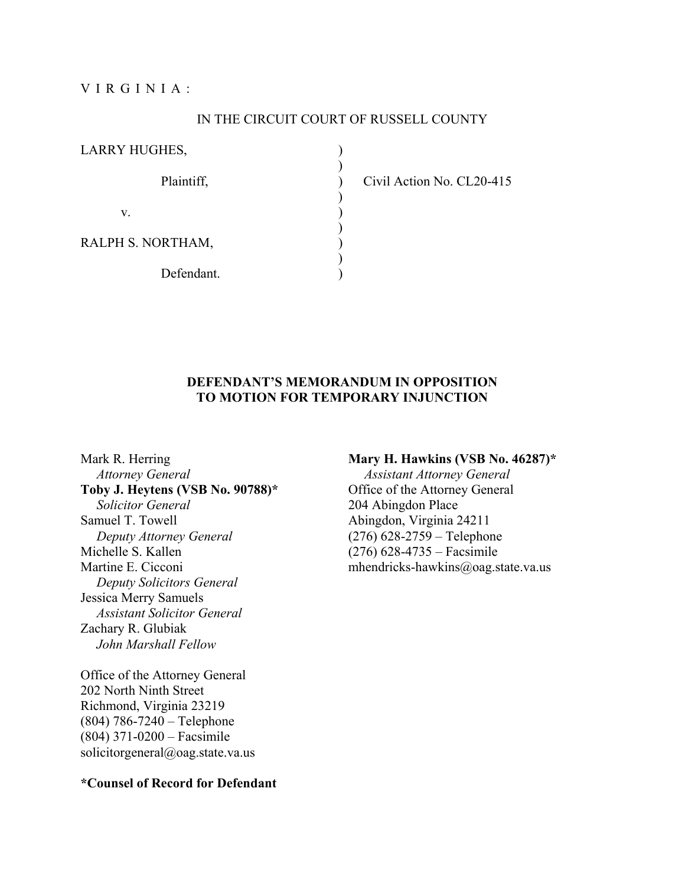VIRGINIA:

#### IN THE CIRCUIT COURT OF RUSSELL COUNTY

)

LARRY HUGHES,

 $)$ 

 $)$ 

v. (1)  $\overline{\phantom{a}}$ 

RALPH S. NORTHAM,

Defendant.

Plaintiff,  $Civil$  Action No. CL20-415

## **DEFENDANT'S MEMORANDUM IN OPPOSITION TO MOTION FOR TEMPORARY INJUNCTION**

Mark R. Herring *Attorney General*  **Toby J. Heytens (VSB No. 90788)\***  *Solicitor General*  Samuel T. Towell *Deputy Attorney General*  Michelle S. Kallen Martine E. Cicconi *Deputy Solicitors General*  Jessica Merry Samuels *Assistant Solicitor General*  Zachary R. Glubiak *John Marshall Fellow* 

Office of the Attorney General 202 North Ninth Street Richmond, Virginia 23219 (804) 786-7240 – Telephone (804) 371-0200 – Facsimile solicitorgeneral@oag.state.va.us

#### **Mary H. Hawkins (VSB No. 46287)\***

*Assistant Attorney General*  Office of the Attorney General 204 Abingdon Place Abingdon, Virginia 24211 (276) 628-2759 – Telephone (276) 628-4735 – Facsimile mhendricks-hawkins@oag.state.va.us

#### **\*Counsel of Record for Defendant**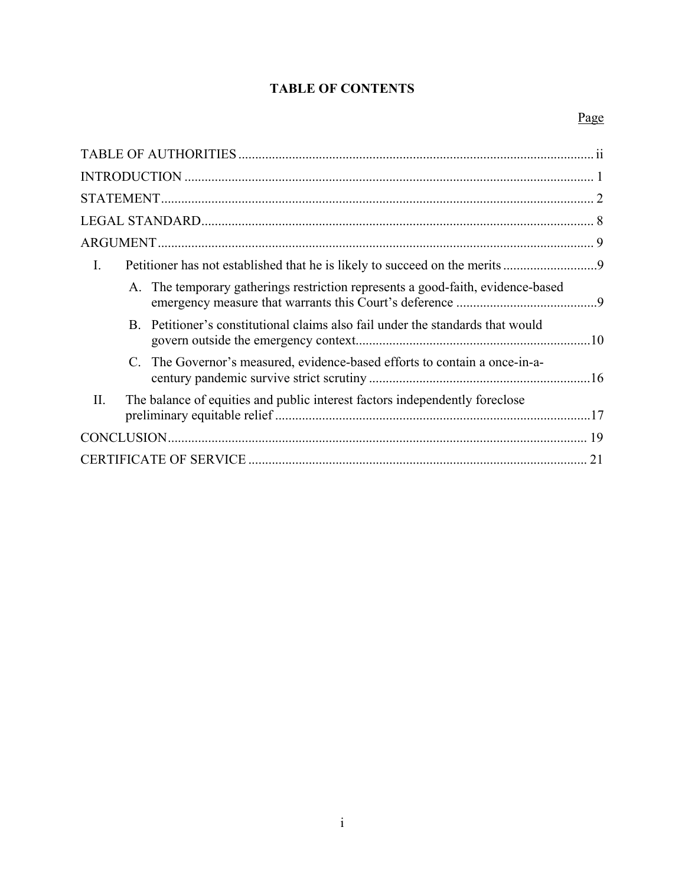# **TABLE OF CONTENTS**

## Page

| $\mathbf{I}$ .                                                                     |  |
|------------------------------------------------------------------------------------|--|
| A. The temporary gatherings restriction represents a good-faith, evidence-based    |  |
| B. Petitioner's constitutional claims also fail under the standards that would     |  |
| C. The Governor's measured, evidence-based efforts to contain a once-in-a-         |  |
| II.<br>The balance of equities and public interest factors independently foreclose |  |
|                                                                                    |  |
| 21                                                                                 |  |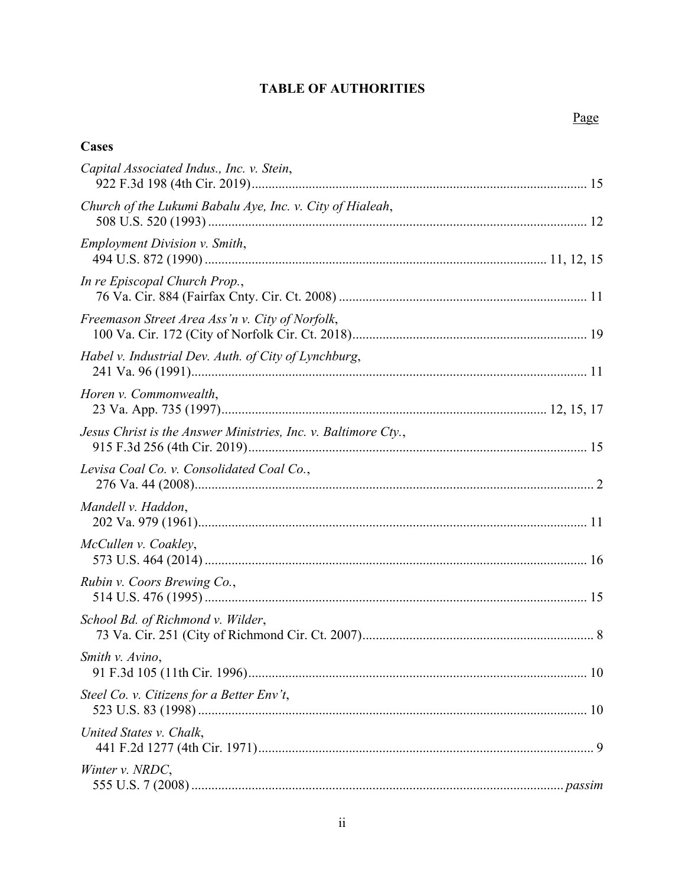# **TABLE OF AUTHORITIES**

## **Cases**

| Capital Associated Indus., Inc. v. Stein,                      |  |
|----------------------------------------------------------------|--|
| Church of the Lukumi Babalu Aye, Inc. v. City of Hialeah,      |  |
| <b>Employment Division v. Smith,</b>                           |  |
| In re Episcopal Church Prop.,                                  |  |
| Freemason Street Area Ass'n v. City of Norfolk,                |  |
| Habel v. Industrial Dev. Auth. of City of Lynchburg,           |  |
| Horen v. Commonwealth,                                         |  |
| Jesus Christ is the Answer Ministries, Inc. v. Baltimore Cty., |  |
| Levisa Coal Co. v. Consolidated Coal Co.,                      |  |
| Mandell v. Haddon,                                             |  |
| McCullen v. Coakley,                                           |  |
| Rubin v. Coors Brewing Co.,                                    |  |
| School Bd. of Richmond v. Wilder,                              |  |
| Smith v. Avino,                                                |  |
| Steel Co. v. Citizens for a Better Env't,                      |  |
| United States v. Chalk,                                        |  |
| Winter v. NRDC,                                                |  |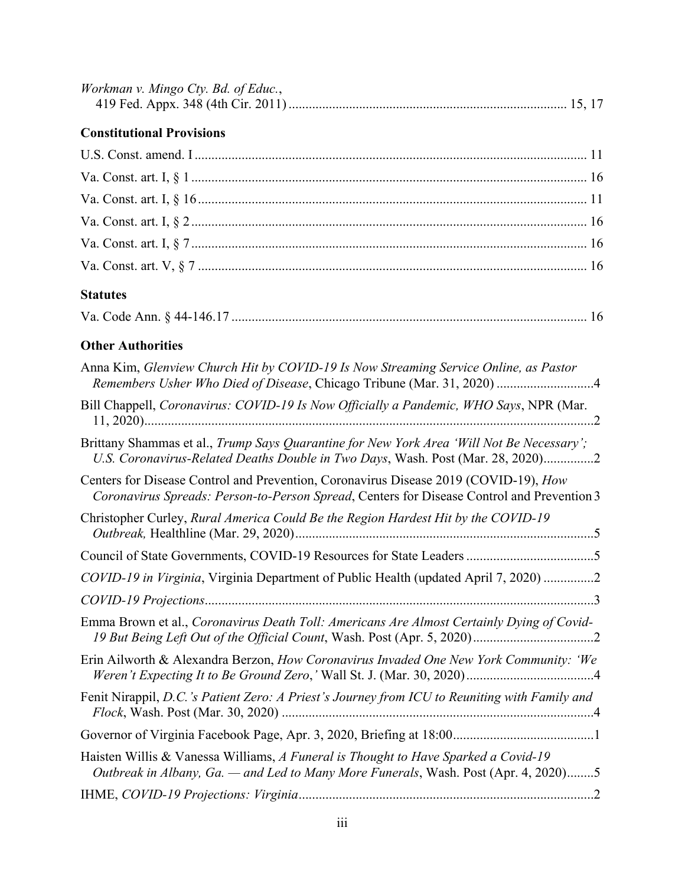| Workman v. Mingo Cty. Bd. of Educ., |  |
|-------------------------------------|--|
|                                     |  |

# **Constitutional Provisions**

# **Statutes**

| Va. Code Ann. § 44-146.17 |  |  |
|---------------------------|--|--|
|---------------------------|--|--|

## **Other Authorities**

| Anna Kim, Glenview Church Hit by COVID-19 Is Now Streaming Service Online, as Pastor                                                                                               |
|------------------------------------------------------------------------------------------------------------------------------------------------------------------------------------|
| Bill Chappell, Coronavirus: COVID-19 Is Now Officially a Pandemic, WHO Says, NPR (Mar.<br>$\mathcal{L}$                                                                            |
| Brittany Shammas et al., Trump Says Quarantine for New York Area 'Will Not Be Necessary';<br>U.S. Coronavirus-Related Deaths Double in Two Days, Wash. Post (Mar. 28, 2020)2       |
| Centers for Disease Control and Prevention, Coronavirus Disease 2019 (COVID-19), How<br>Coronavirus Spreads: Person-to-Person Spread, Centers for Disease Control and Prevention 3 |
| Christopher Curley, Rural America Could Be the Region Hardest Hit by the COVID-19                                                                                                  |
|                                                                                                                                                                                    |
| COVID-19 in Virginia, Virginia Department of Public Health (updated April 7, 2020) 2                                                                                               |
|                                                                                                                                                                                    |
| Emma Brown et al., Coronavirus Death Toll: Americans Are Almost Certainly Dying of Covid-                                                                                          |
| Erin Ailworth & Alexandra Berzon, How Coronavirus Invaded One New York Community: 'We                                                                                              |
| Fenit Nirappil, D.C.'s Patient Zero: A Priest's Journey from ICU to Reuniting with Family and                                                                                      |
|                                                                                                                                                                                    |
| Haisten Willis & Vanessa Williams, A Funeral is Thought to Have Sparked a Covid-19<br>Outbreak in Albany, Ga. — and Led to Many More Funerals, Wash. Post (Apr. 4, 2020)5          |
|                                                                                                                                                                                    |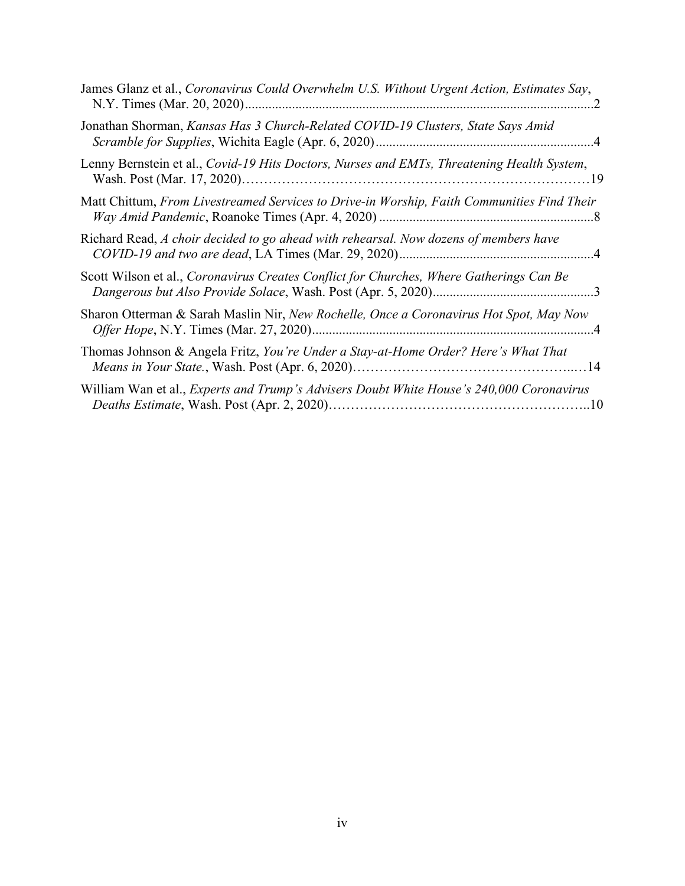| James Glanz et al., Coronavirus Could Overwhelm U.S. Without Urgent Action, Estimates Say,      |
|-------------------------------------------------------------------------------------------------|
| Jonathan Shorman, Kansas Has 3 Church-Related COVID-19 Clusters, State Says Amid                |
| Lenny Bernstein et al., Covid-19 Hits Doctors, Nurses and EMTs, Threatening Health System,      |
| Matt Chittum, From Livestreamed Services to Drive-in Worship, Faith Communities Find Their      |
| Richard Read, A choir decided to go ahead with rehearsal. Now dozens of members have            |
| Scott Wilson et al., Coronavirus Creates Conflict for Churches, Where Gatherings Can Be         |
| Sharon Otterman & Sarah Maslin Nir, New Rochelle, Once a Coronavirus Hot Spot, May Now          |
| Thomas Johnson & Angela Fritz, You're Under a Stay-at-Home Order? Here's What That              |
| William Wan et al., <i>Experts and Trump's Advisers Doubt White House's 240,000 Coronavirus</i> |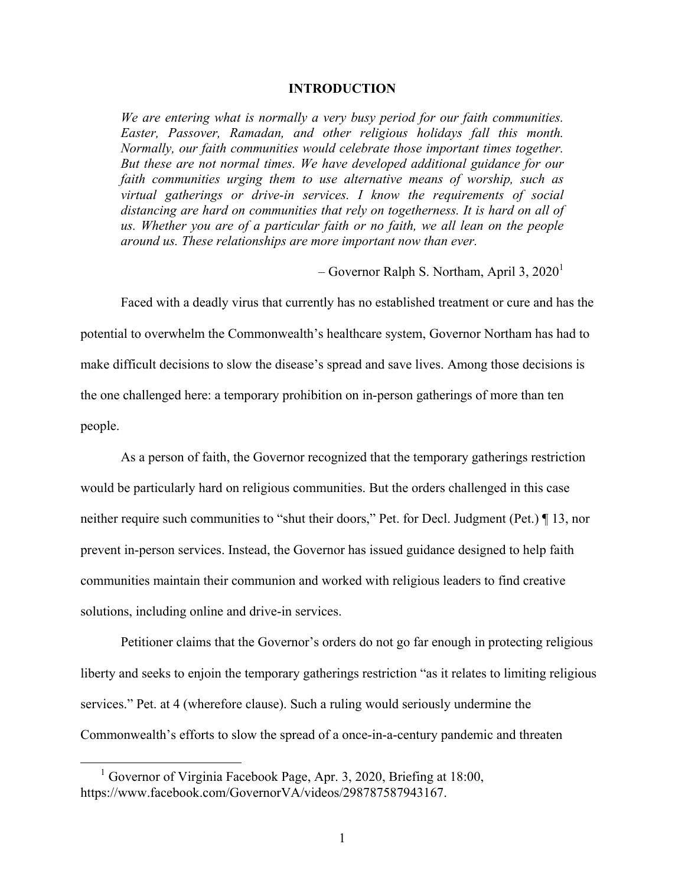#### **INTRODUCTION**

*We are entering what is normally a very busy period for our faith communities. Easter, Passover, Ramadan, and other religious holidays fall this month. Normally, our faith communities would celebrate those important times together. But these are not normal times. We have developed additional guidance for our faith communities urging them to use alternative means of worship, such as virtual gatherings or drive-in services. I know the requirements of social distancing are hard on communities that rely on togetherness. It is hard on all of us. Whether you are of a particular faith or no faith, we all lean on the people around us. These relationships are more important now than ever.* 

– Governor Ralph S. Northam, April 3,  $2020<sup>1</sup>$ 

 Faced with a deadly virus that currently has no established treatment or cure and has the potential to overwhelm the Commonwealth's healthcare system, Governor Northam has had to make difficult decisions to slow the disease's spread and save lives. Among those decisions is the one challenged here: a temporary prohibition on in-person gatherings of more than ten people.

 As a person of faith, the Governor recognized that the temporary gatherings restriction would be particularly hard on religious communities. But the orders challenged in this case neither require such communities to "shut their doors," Pet. for Decl. Judgment (Pet.) ¶ 13, nor prevent in-person services. Instead, the Governor has issued guidance designed to help faith communities maintain their communion and worked with religious leaders to find creative solutions, including online and drive-in services.

 Petitioner claims that the Governor's orders do not go far enough in protecting religious liberty and seeks to enjoin the temporary gatherings restriction "as it relates to limiting religious services." Pet. at 4 (wherefore clause). Such a ruling would seriously undermine the Commonwealth's efforts to slow the spread of a once-in-a-century pandemic and threaten

 <sup>1</sup> Governor of Virginia Facebook Page, Apr. 3, 2020, Briefing at 18:00, https://www.facebook.com/GovernorVA/videos/298787587943167.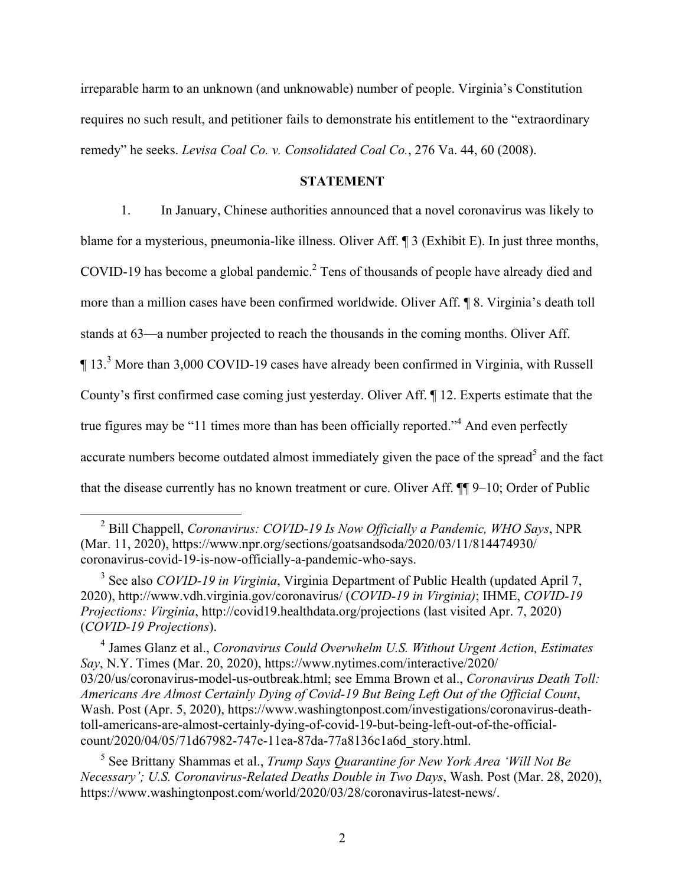irreparable harm to an unknown (and unknowable) number of people. Virginia's Constitution requires no such result, and petitioner fails to demonstrate his entitlement to the "extraordinary remedy" he seeks. *Levisa Coal Co. v. Consolidated Coal Co.*, 276 Va. 44, 60 (2008).

#### **STATEMENT**

 1. In January, Chinese authorities announced that a novel coronavirus was likely to blame for a mysterious, pneumonia-like illness. Oliver Aff. ¶ 3 (Exhibit E). In just three months, COVID-19 has become a global pandemic.<sup>2</sup> Tens of thousands of people have already died and more than a million cases have been confirmed worldwide. Oliver Aff. ¶ 8. Virginia's death toll stands at 63—a number projected to reach the thousands in the coming months. Oliver Aff. <sup>1</sup> 13.<sup>3</sup> More than 3,000 COVID-19 cases have already been confirmed in Virginia, with Russell County's first confirmed case coming just yesterday. Oliver Aff. ¶ 12. Experts estimate that the true figures may be "11 times more than has been officially reported."<sup>4</sup> And even perfectly accurate numbers become outdated almost immediately given the pace of the spread<sup>5</sup> and the fact that the disease currently has no known treatment or cure. Oliver Aff.  $\P\P$  9–10; Order of Public

 2 Bill Chappell, *Coronavirus: COVID-19 Is Now Officially a Pandemic, WHO Says*, NPR (Mar. 11, 2020), https://www.npr.org/sections/goatsandsoda/2020/03/11/814474930/ coronavirus-covid-19-is-now-officially-a-pandemic-who-says.

<sup>3</sup> See also *COVID-19 in Virginia*, Virginia Department of Public Health (updated April 7, 2020), http://www.vdh.virginia.gov/coronavirus/ (*COVID-19 in Virginia)*; IHME, *COVID-19 Projections: Virginia*, http://covid19.healthdata.org/projections (last visited Apr. 7, 2020) (*COVID-19 Projections*).

4 James Glanz et al., *Coronavirus Could Overwhelm U.S. Without Urgent Action, Estimates Say*, N.Y. Times (Mar. 20, 2020), https://www.nytimes.com/interactive/2020/ 03/20/us/coronavirus-model-us-outbreak.html; see Emma Brown et al., *Coronavirus Death Toll: Americans Are Almost Certainly Dying of Covid-19 But Being Left Out of the Official Count*, Wash. Post (Apr. 5, 2020), https://www.washingtonpost.com/investigations/coronavirus-deathtoll-americans-are-almost-certainly-dying-of-covid-19-but-being-left-out-of-the-officialcount/2020/04/05/71d67982-747e-11ea-87da-77a8136c1a6d\_story.html.

5 See Brittany Shammas et al., *Trump Says Quarantine for New York Area 'Will Not Be Necessary'; U.S. Coronavirus-Related Deaths Double in Two Days*, Wash. Post (Mar. 28, 2020), https://www.washingtonpost.com/world/2020/03/28/coronavirus-latest-news/.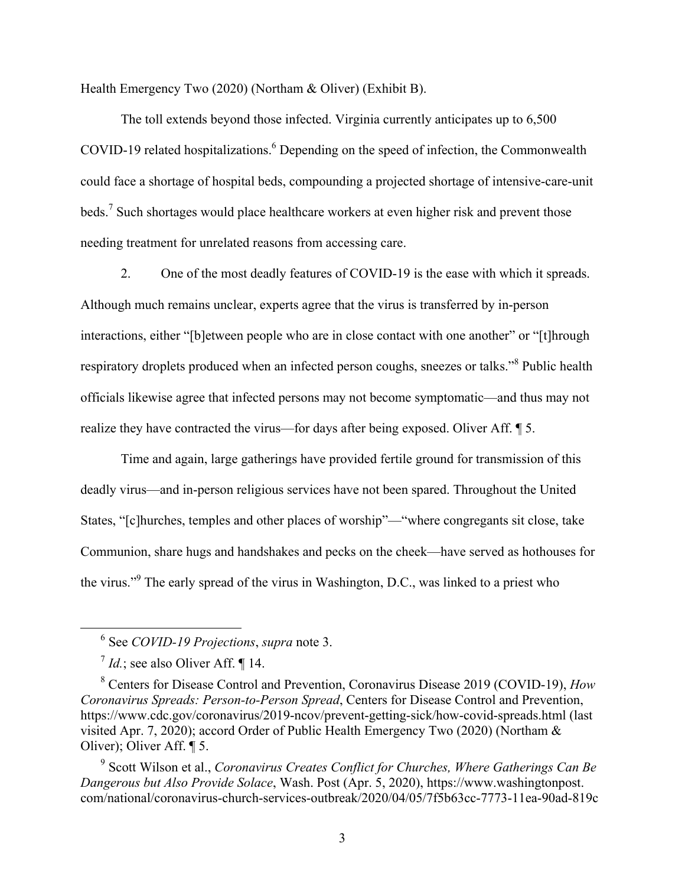Health Emergency Two (2020) (Northam & Oliver) (Exhibit B).

The toll extends beyond those infected. Virginia currently anticipates up to 6,500 COVID-19 related hospitalizations.<sup>6</sup> Depending on the speed of infection, the Commonwealth could face a shortage of hospital beds, compounding a projected shortage of intensive-care-unit beds.<sup>7</sup> Such shortages would place healthcare workers at even higher risk and prevent those needing treatment for unrelated reasons from accessing care.

 2. One of the most deadly features of COVID-19 is the ease with which it spreads. Although much remains unclear, experts agree that the virus is transferred by in-person interactions, either "[b]etween people who are in close contact with one another" or "[t]hrough respiratory droplets produced when an infected person coughs, sneezes or talks."<sup>8</sup> Public health officials likewise agree that infected persons may not become symptomatic—and thus may not realize they have contracted the virus—for days after being exposed. Oliver Aff. ¶ 5.

 Time and again, large gatherings have provided fertile ground for transmission of this deadly virus—and in-person religious services have not been spared. Throughout the United States, "[c]hurches, temples and other places of worship"—"where congregants sit close, take Communion, share hugs and handshakes and pecks on the cheek—have served as hothouses for the virus."<sup>9</sup> The early spread of the virus in Washington, D.C., was linked to a priest who

 <sup>6</sup> See *COVID-19 Projections*, *supra* note 3.

 $\frac{7}{1}$ *Id.*; see also Oliver Aff. ¶ 14.

<sup>8</sup> Centers for Disease Control and Prevention, Coronavirus Disease 2019 (COVID-19), *How Coronavirus Spreads: Person-to-Person Spread*, Centers for Disease Control and Prevention, https://www.cdc.gov/coronavirus/2019-ncov/prevent-getting-sick/how-covid-spreads.html (last visited Apr. 7, 2020); accord Order of Public Health Emergency Two (2020) (Northam & Oliver); Oliver Aff. ¶ 5.

<sup>9</sup> Scott Wilson et al., *Coronavirus Creates Conflict for Churches, Where Gatherings Can Be Dangerous but Also Provide Solace*, Wash. Post (Apr. 5, 2020), https://www.washingtonpost. com/national/coronavirus-church-services-outbreak/2020/04/05/7f5b63cc-7773-11ea-90ad-819c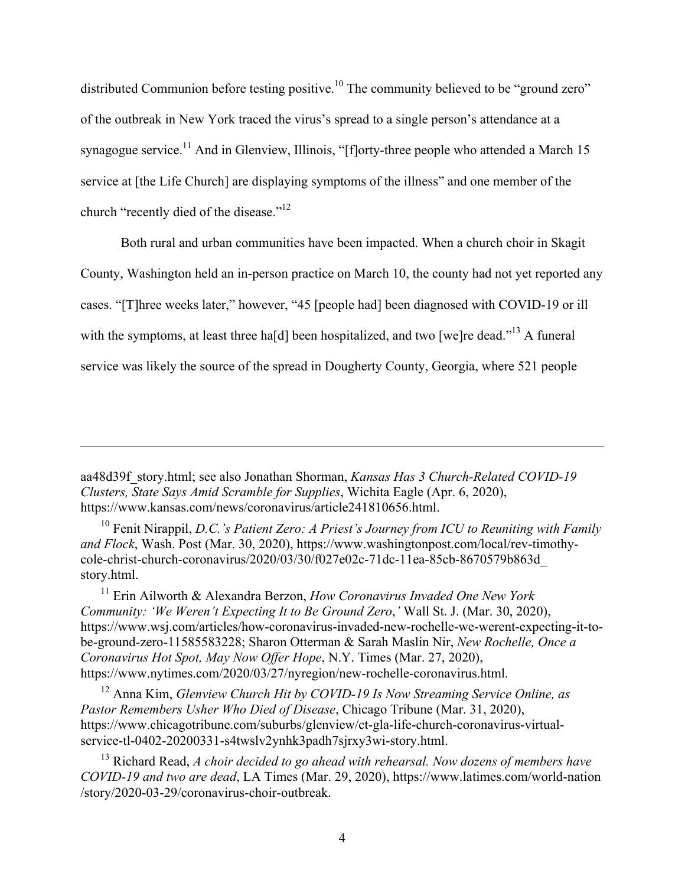distributed Communion before testing positive.<sup>10</sup> The community believed to be "ground zero" of the outbreak in New York traced the virus's spread to a single person's attendance at a synagogue service.<sup>11</sup> And in Glenview, Illinois, "[f]orty-three people who attended a March 15 service at [the Life Church] are displaying symptoms of the illness" and one member of the church "recently died of the disease."<sup>12</sup>

Both rural and urban communities have been impacted. When a church choir in Skagit County, Washington held an in-person practice on March 10, the county had not yet reported any cases. "[T]hree weeks later," however, "45 [people had] been diagnosed with COVID-19 or ill with the symptoms, at least three ha[d] been hospitalized, and two [we]re dead."<sup>13</sup> A funeral service was likely the source of the spread in Dougherty County, Georgia, where 521 people

aa48d39f\_story.html; see also Jonathan Shorman, *Kansas Has 3 Church-Related COVID-19 Clusters, State Says Amid Scramble for Supplies*, Wichita Eagle (Apr. 6, 2020), https://www.kansas.com/news/coronavirus/article241810656.html.

1

<sup>10</sup> Fenit Nirappil, *D.C.'s Patient Zero: A Priest's Journey from ICU to Reuniting with Family and Flock*, Wash. Post (Mar. 30, 2020), https://www.washingtonpost.com/local/rev-timothycole-christ-church-coronavirus/2020/03/30/f027e02c-71dc-11ea-85cb-8670579b863d\_ story.html.

11 Erin Ailworth & Alexandra Berzon, *How Coronavirus Invaded One New York Community: 'We Weren't Expecting It to Be Ground Zero*,*'* Wall St. J. (Mar. 30, 2020), https://www.wsj.com/articles/how-coronavirus-invaded-new-rochelle-we-werent-expecting-it-tobe-ground-zero-11585583228; Sharon Otterman & Sarah Maslin Nir, *New Rochelle, Once a Coronavirus Hot Spot, May Now Offer Hope*, N.Y. Times (Mar. 27, 2020), https://www.nytimes.com/2020/03/27/nyregion/new-rochelle-coronavirus.html.

<sup>12</sup> Anna Kim, *Glenview Church Hit by COVID-19 Is Now Streaming Service Online, as Pastor Remembers Usher Who Died of Disease*, Chicago Tribune (Mar. 31, 2020), https://www.chicagotribune.com/suburbs/glenview/ct-gla-life-church-coronavirus-virtualservice-tl-0402-20200331-s4twslv2ynhk3padh7sjrxy3wi-story.html.

13 Richard Read, *A choir decided to go ahead with rehearsal. Now dozens of members have COVID-19 and two are dead*, LA Times (Mar. 29, 2020), https://www.latimes.com/world-nation /story/2020-03-29/coronavirus-choir-outbreak.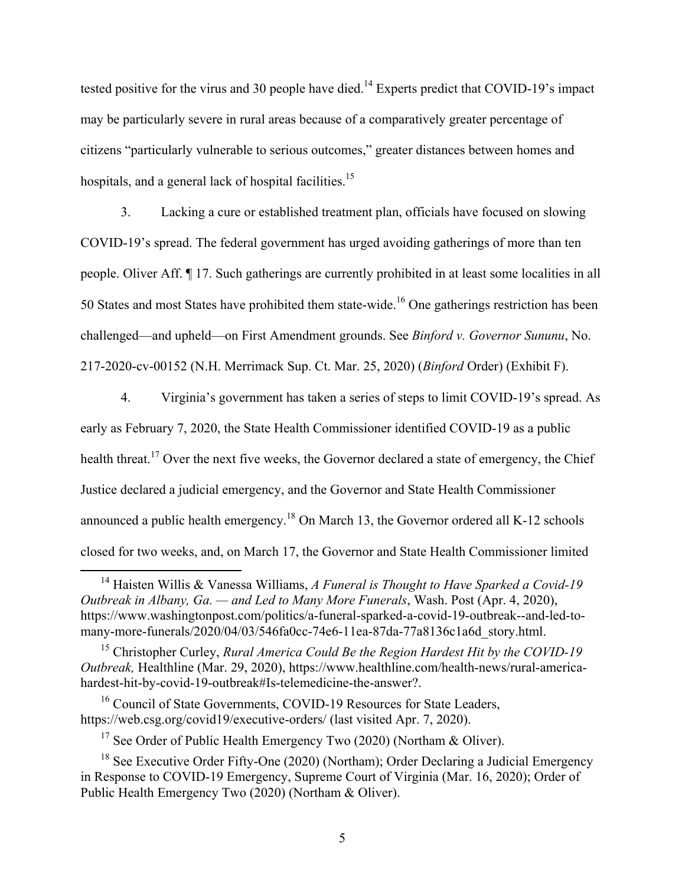tested positive for the virus and 30 people have died.<sup>14</sup> Experts predict that COVID-19's impact may be particularly severe in rural areas because of a comparatively greater percentage of citizens "particularly vulnerable to serious outcomes," greater distances between homes and hospitals, and a general lack of hospital facilities.<sup>15</sup>

 3. Lacking a cure or established treatment plan, officials have focused on slowing COVID-19's spread. The federal government has urged avoiding gatherings of more than ten people. Oliver Aff. ¶ 17. Such gatherings are currently prohibited in at least some localities in all 50 States and most States have prohibited them state-wide.<sup>16</sup> One gatherings restriction has been challenged—and upheld—on First Amendment grounds. See *Binford v. Governor Sununu*, No. 217-2020-cv-00152 (N.H. Merrimack Sup. Ct. Mar. 25, 2020) (*Binford* Order) (Exhibit F).

4. Virginia's government has taken a series of steps to limit COVID-19's spread. As early as February 7, 2020, the State Health Commissioner identified COVID-19 as a public health threat.<sup>17</sup> Over the next five weeks, the Governor declared a state of emergency, the Chief Justice declared a judicial emergency, and the Governor and State Health Commissioner announced a public health emergency.<sup>18</sup> On March 13, the Governor ordered all K-12 schools closed for two weeks, and, on March 17, the Governor and State Health Commissioner limited

<sup>17</sup> See Order of Public Health Emergency Two (2020) (Northam & Oliver).

 <sup>14</sup> Haisten Willis & Vanessa Williams, *A Funeral is Thought to Have Sparked a Covid-19 Outbreak in Albany, Ga. — and Led to Many More Funerals*, Wash. Post (Apr. 4, 2020), https://www.washingtonpost.com/politics/a-funeral-sparked-a-covid-19-outbreak--and-led-tomany-more-funerals/2020/04/03/546fa0cc-74e6-11ea-87da-77a8136c1a6d\_story.html.

<sup>15</sup> Christopher Curley, *Rural America Could Be the Region Hardest Hit by the COVID-19 Outbreak,* Healthline (Mar. 29, 2020), https://www.healthline.com/health-news/rural-americahardest-hit-by-covid-19-outbreak#Is-telemedicine-the-answer?.

<sup>&</sup>lt;sup>16</sup> Council of State Governments, COVID-19 Resources for State Leaders, https://web.csg.org/covid19/executive-orders/ (last visited Apr. 7, 2020).

<sup>&</sup>lt;sup>18</sup> See Executive Order Fifty-One (2020) (Northam); Order Declaring a Judicial Emergency in Response to COVID-19 Emergency, Supreme Court of Virginia (Mar. 16, 2020); Order of Public Health Emergency Two (2020) (Northam & Oliver).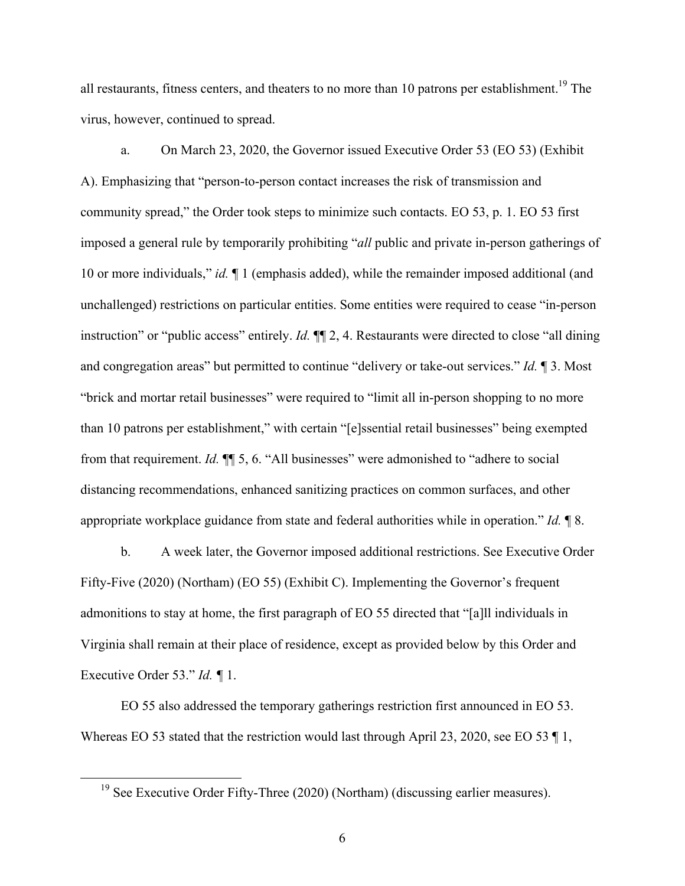all restaurants, fitness centers, and theaters to no more than 10 patrons per establishment.<sup>19</sup> The virus, however, continued to spread.

a. On March 23, 2020, the Governor issued Executive Order 53 (EO 53) (Exhibit A). Emphasizing that "person-to-person contact increases the risk of transmission and community spread," the Order took steps to minimize such contacts. EO 53, p. 1. EO 53 first imposed a general rule by temporarily prohibiting "*all* public and private in-person gatherings of 10 or more individuals," *id.* ¶ 1 (emphasis added), while the remainder imposed additional (and unchallenged) restrictions on particular entities. Some entities were required to cease "in-person instruction" or "public access" entirely. *Id.* ¶¶ 2, 4. Restaurants were directed to close "all dining and congregation areas" but permitted to continue "delivery or take-out services." *Id.* ¶ 3. Most "brick and mortar retail businesses" were required to "limit all in-person shopping to no more than 10 patrons per establishment," with certain "[e]ssential retail businesses" being exempted from that requirement. *Id.* ¶¶ 5, 6. "All businesses" were admonished to "adhere to social distancing recommendations, enhanced sanitizing practices on common surfaces, and other appropriate workplace guidance from state and federal authorities while in operation." *Id.* ¶ 8.

b. A week later, the Governor imposed additional restrictions. See Executive Order Fifty-Five (2020) (Northam) (EO 55) (Exhibit C). Implementing the Governor's frequent admonitions to stay at home, the first paragraph of EO 55 directed that "[a]ll individuals in Virginia shall remain at their place of residence, except as provided below by this Order and Executive Order 53." *Id. ¶* 1.

EO 55 also addressed the temporary gatherings restriction first announced in EO 53. Whereas EO 53 stated that the restriction would last through April 23, 2020, see EO 53 ¶ 1,

<sup>&</sup>lt;sup>19</sup> See Executive Order Fifty-Three (2020) (Northam) (discussing earlier measures).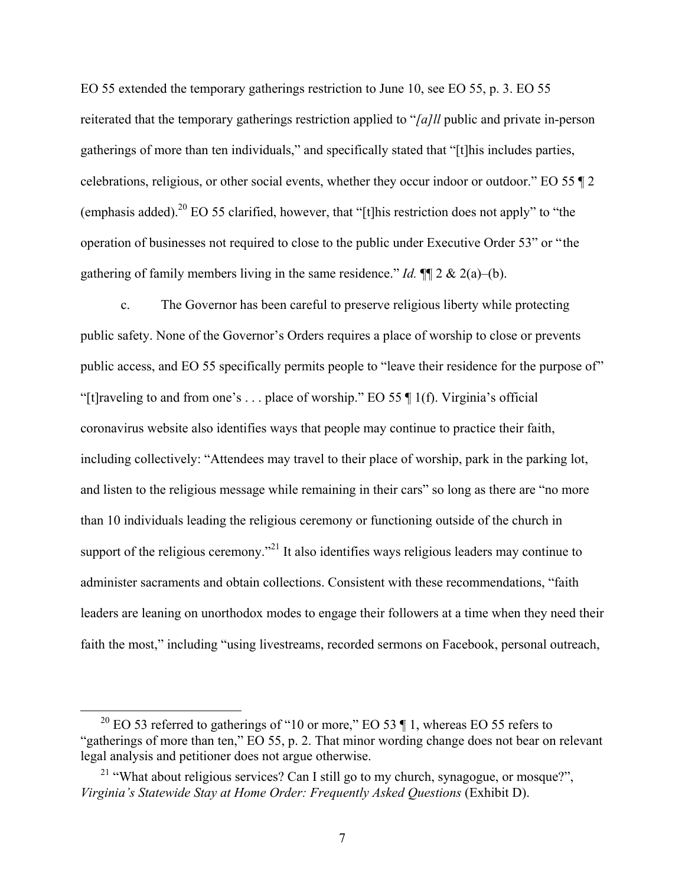EO 55 extended the temporary gatherings restriction to June 10, see EO 55, p. 3. EO 55 reiterated that the temporary gatherings restriction applied to "*[a]ll* public and private in-person gatherings of more than ten individuals," and specifically stated that "[t]his includes parties, celebrations, religious, or other social events, whether they occur indoor or outdoor." EO 55 ¶ 2 (emphasis added).<sup>20</sup> EO 55 clarified, however, that "[t]his restriction does not apply" to "the operation of businesses not required to close to the public under Executive Order 53" or "the gathering of family members living in the same residence." *Id.*  $\P$  2 & 2(a)–(b).

c. The Governor has been careful to preserve religious liberty while protecting public safety. None of the Governor's Orders requires a place of worship to close or prevents public access, and EO 55 specifically permits people to "leave their residence for the purpose of" "[t]raveling to and from one's . . . place of worship." EO 55  $\P$  1(f). Virginia's official coronavirus website also identifies ways that people may continue to practice their faith, including collectively: "Attendees may travel to their place of worship, park in the parking lot, and listen to the religious message while remaining in their cars" so long as there are "no more than 10 individuals leading the religious ceremony or functioning outside of the church in support of the religious ceremony.<sup>"21</sup> It also identifies ways religious leaders may continue to administer sacraments and obtain collections. Consistent with these recommendations, "faith leaders are leaning on unorthodox modes to engage their followers at a time when they need their faith the most," including "using livestreams, recorded sermons on Facebook, personal outreach,

<sup>&</sup>lt;sup>20</sup> EO 53 referred to gatherings of "10 or more," EO 53  $\P$  1, whereas EO 55 refers to "gatherings of more than ten," EO 55, p. 2. That minor wording change does not bear on relevant legal analysis and petitioner does not argue otherwise.

<sup>&</sup>lt;sup>21</sup> "What about religious services? Can I still go to my church, synagogue, or mosque?", *Virginia's Statewide Stay at Home Order: Frequently Asked Questions* (Exhibit D).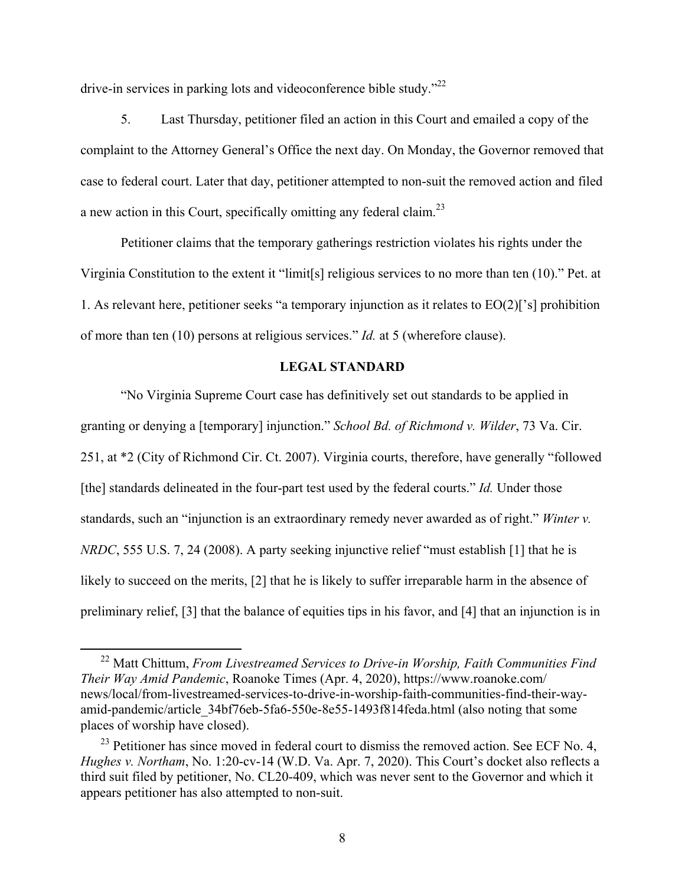drive-in services in parking lots and videoconference bible study."22

5. Last Thursday, petitioner filed an action in this Court and emailed a copy of the complaint to the Attorney General's Office the next day. On Monday, the Governor removed that case to federal court. Later that day, petitioner attempted to non-suit the removed action and filed a new action in this Court, specifically omitting any federal claim.<sup>23</sup>

Petitioner claims that the temporary gatherings restriction violates his rights under the Virginia Constitution to the extent it "limit[s] religious services to no more than ten (10)." Pet. at 1. As relevant here, petitioner seeks "a temporary injunction as it relates to EO(2)['s] prohibition of more than ten (10) persons at religious services." *Id.* at 5 (wherefore clause).

## **LEGAL STANDARD**

"No Virginia Supreme Court case has definitively set out standards to be applied in granting or denying a [temporary] injunction." *School Bd. of Richmond v. Wilder*, 73 Va. Cir. 251, at \*2 (City of Richmond Cir. Ct. 2007). Virginia courts, therefore, have generally "followed [the] standards delineated in the four-part test used by the federal courts." *Id.* Under those standards, such an "injunction is an extraordinary remedy never awarded as of right." *Winter v. NRDC*, 555 U.S. 7, 24 (2008). A party seeking injunctive relief "must establish [1] that he is likely to succeed on the merits, [2] that he is likely to suffer irreparable harm in the absence of preliminary relief, [3] that the balance of equities tips in his favor, and [4] that an injunction is in

 <sup>22</sup> Matt Chittum, *From Livestreamed Services to Drive-in Worship, Faith Communities Find Their Way Amid Pandemic*, Roanoke Times (Apr. 4, 2020), https://www.roanoke.com/ news/local/from-livestreamed-services-to-drive-in-worship-faith-communities-find-their-wayamid-pandemic/article\_34bf76eb-5fa6-550e-8e55-1493f814feda.html (also noting that some places of worship have closed).

 $^{23}$  Petitioner has since moved in federal court to dismiss the removed action. See ECF No. 4, *Hughes v. Northam*, No. 1:20-cv-14 (W.D. Va. Apr. 7, 2020). This Court's docket also reflects a third suit filed by petitioner, No. CL20-409, which was never sent to the Governor and which it appears petitioner has also attempted to non-suit.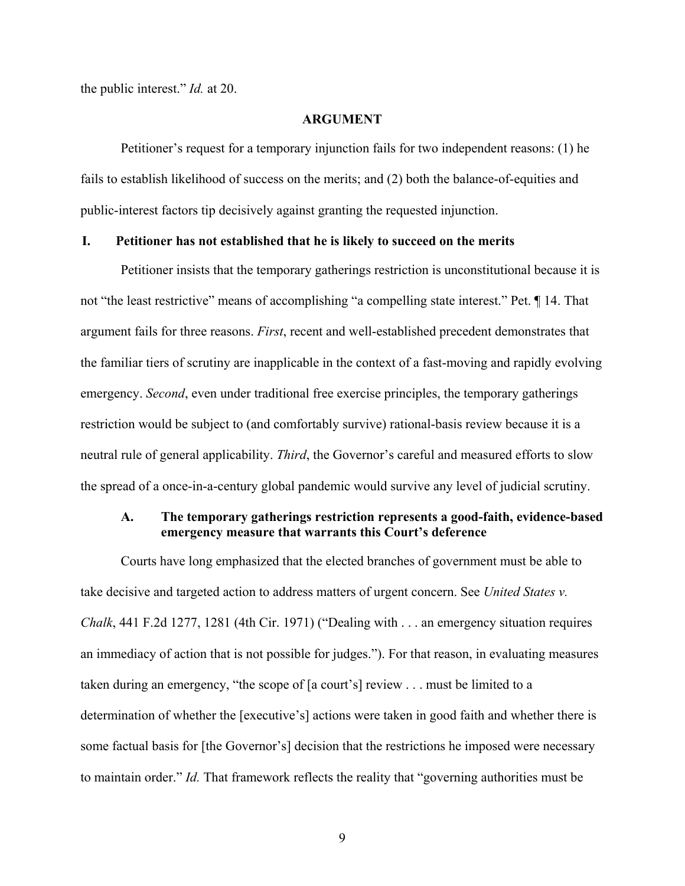the public interest." *Id.* at 20.

#### **ARGUMENT**

Petitioner's request for a temporary injunction fails for two independent reasons: (1) he fails to establish likelihood of success on the merits; and (2) both the balance-of-equities and public-interest factors tip decisively against granting the requested injunction.

#### **I. Petitioner has not established that he is likely to succeed on the merits**

Petitioner insists that the temporary gatherings restriction is unconstitutional because it is not "the least restrictive" means of accomplishing "a compelling state interest." Pet. ¶ 14. That argument fails for three reasons. *First*, recent and well-established precedent demonstrates that the familiar tiers of scrutiny are inapplicable in the context of a fast-moving and rapidly evolving emergency. *Second*, even under traditional free exercise principles, the temporary gatherings restriction would be subject to (and comfortably survive) rational-basis review because it is a neutral rule of general applicability. *Third*, the Governor's careful and measured efforts to slow the spread of a once-in-a-century global pandemic would survive any level of judicial scrutiny.

## **A. The temporary gatherings restriction represents a good-faith, evidence-based emergency measure that warrants this Court's deference**

Courts have long emphasized that the elected branches of government must be able to take decisive and targeted action to address matters of urgent concern. See *United States v. Chalk*, 441 F.2d 1277, 1281 (4th Cir. 1971) ("Dealing with . . . an emergency situation requires an immediacy of action that is not possible for judges."). For that reason, in evaluating measures taken during an emergency, "the scope of [a court's] review . . . must be limited to a determination of whether the [executive's] actions were taken in good faith and whether there is some factual basis for [the Governor's] decision that the restrictions he imposed were necessary to maintain order." *Id.* That framework reflects the reality that "governing authorities must be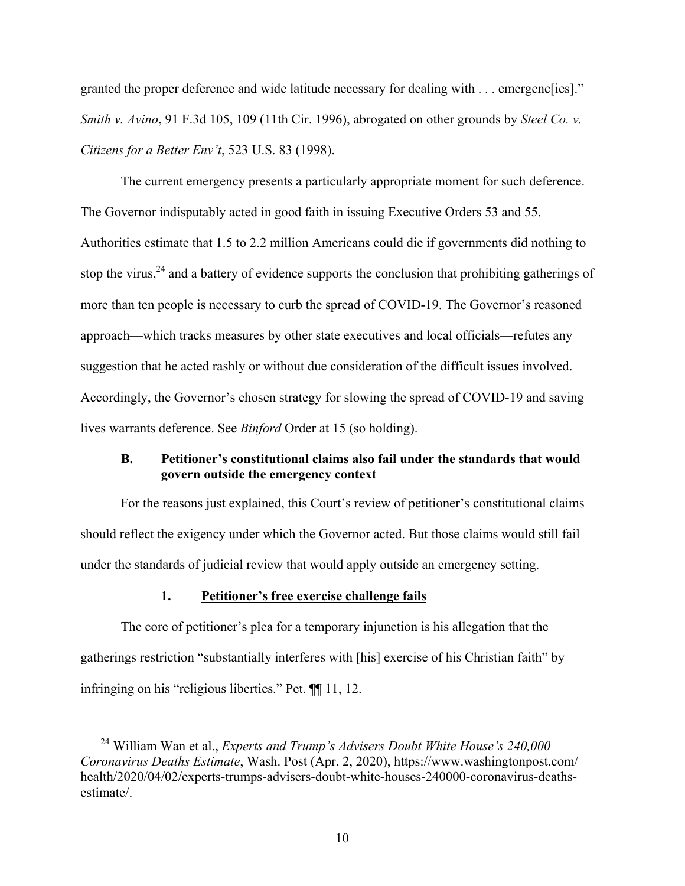granted the proper deference and wide latitude necessary for dealing with . . . emergenc[ies]." *Smith v. Avino*, 91 F.3d 105, 109 (11th Cir. 1996), abrogated on other grounds by *Steel Co. v. Citizens for a Better Env't*, 523 U.S. 83 (1998).

The current emergency presents a particularly appropriate moment for such deference. The Governor indisputably acted in good faith in issuing Executive Orders 53 and 55. Authorities estimate that 1.5 to 2.2 million Americans could die if governments did nothing to stop the virus,  $24$  and a battery of evidence supports the conclusion that prohibiting gatherings of more than ten people is necessary to curb the spread of COVID-19. The Governor's reasoned approach—which tracks measures by other state executives and local officials—refutes any suggestion that he acted rashly or without due consideration of the difficult issues involved. Accordingly, the Governor's chosen strategy for slowing the spread of COVID-19 and saving lives warrants deference. See *Binford* Order at 15 (so holding).

## **B. Petitioner's constitutional claims also fail under the standards that would govern outside the emergency context**

For the reasons just explained, this Court's review of petitioner's constitutional claims should reflect the exigency under which the Governor acted. But those claims would still fail under the standards of judicial review that would apply outside an emergency setting.

#### **1. Petitioner's free exercise challenge fails**

The core of petitioner's plea for a temporary injunction is his allegation that the gatherings restriction "substantially interferes with [his] exercise of his Christian faith" by infringing on his "religious liberties." Pet. ¶¶ 11, 12.

 <sup>24</sup> William Wan et al., *Experts and Trump's Advisers Doubt White House's 240,000 Coronavirus Deaths Estimate*, Wash. Post (Apr. 2, 2020), https://www.washingtonpost.com/ health/2020/04/02/experts-trumps-advisers-doubt-white-houses-240000-coronavirus-deathsestimate/.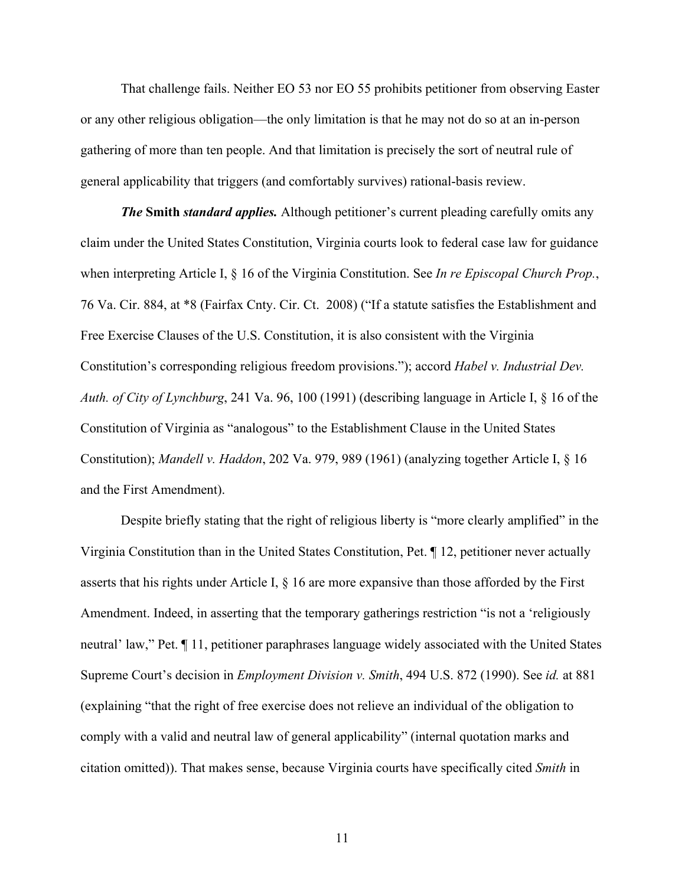That challenge fails. Neither EO 53 nor EO 55 prohibits petitioner from observing Easter or any other religious obligation—the only limitation is that he may not do so at an in-person gathering of more than ten people. And that limitation is precisely the sort of neutral rule of general applicability that triggers (and comfortably survives) rational-basis review.

*The* **Smith** *standard applies.* Although petitioner's current pleading carefully omits any claim under the United States Constitution, Virginia courts look to federal case law for guidance when interpreting Article I, § 16 of the Virginia Constitution. See *In re Episcopal Church Prop.*, 76 Va. Cir. 884, at \*8 (Fairfax Cnty. Cir. Ct. 2008) ("If a statute satisfies the Establishment and Free Exercise Clauses of the U.S. Constitution, it is also consistent with the Virginia Constitution's corresponding religious freedom provisions."); accord *Habel v. Industrial Dev. Auth. of City of Lynchburg*, 241 Va. 96, 100 (1991) (describing language in Article I, § 16 of the Constitution of Virginia as "analogous" to the Establishment Clause in the United States Constitution); *Mandell v. Haddon*, 202 Va. 979, 989 (1961) (analyzing together Article I, § 16 and the First Amendment).

Despite briefly stating that the right of religious liberty is "more clearly amplified" in the Virginia Constitution than in the United States Constitution, Pet. ¶ 12, petitioner never actually asserts that his rights under Article I, § 16 are more expansive than those afforded by the First Amendment. Indeed, in asserting that the temporary gatherings restriction "is not a 'religiously neutral' law," Pet. ¶ 11, petitioner paraphrases language widely associated with the United States Supreme Court's decision in *Employment Division v. Smith*, 494 U.S. 872 (1990). See *id.* at 881 (explaining "that the right of free exercise does not relieve an individual of the obligation to comply with a valid and neutral law of general applicability" (internal quotation marks and citation omitted)). That makes sense, because Virginia courts have specifically cited *Smith* in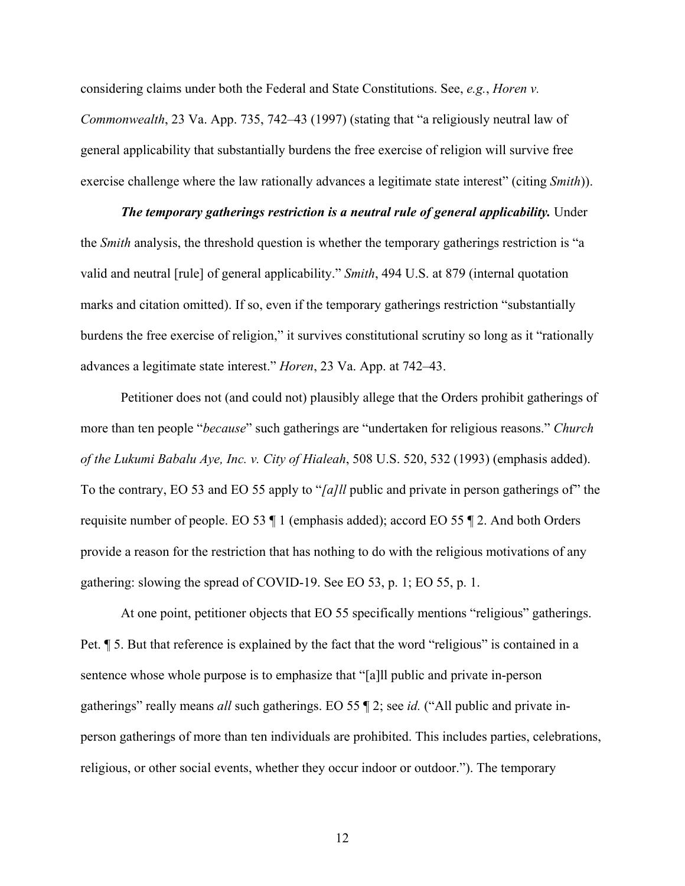considering claims under both the Federal and State Constitutions. See, *e.g.*, *Horen v. Commonwealth*, 23 Va. App. 735, 742–43 (1997) (stating that "a religiously neutral law of general applicability that substantially burdens the free exercise of religion will survive free exercise challenge where the law rationally advances a legitimate state interest" (citing *Smith*)).

*The temporary gatherings restriction is a neutral rule of general applicability.* **Under** the *Smith* analysis, the threshold question is whether the temporary gatherings restriction is "a valid and neutral [rule] of general applicability." *Smith*, 494 U.S. at 879 (internal quotation marks and citation omitted). If so, even if the temporary gatherings restriction "substantially burdens the free exercise of religion," it survives constitutional scrutiny so long as it "rationally advances a legitimate state interest." *Horen*, 23 Va. App. at 742–43.

Petitioner does not (and could not) plausibly allege that the Orders prohibit gatherings of more than ten people "*because*" such gatherings are "undertaken for religious reasons." *Church of the Lukumi Babalu Aye, Inc. v. City of Hialeah*, 508 U.S. 520, 532 (1993) (emphasis added). To the contrary, EO 53 and EO 55 apply to "*[a]ll* public and private in person gatherings of" the requisite number of people. EO 53 ¶ 1 (emphasis added); accord EO 55 ¶ 2. And both Orders provide a reason for the restriction that has nothing to do with the religious motivations of any gathering: slowing the spread of COVID-19. See EO 53, p. 1; EO 55, p. 1.

At one point, petitioner objects that EO 55 specifically mentions "religious" gatherings. Pet. ¶ 5. But that reference is explained by the fact that the word "religious" is contained in a sentence whose whole purpose is to emphasize that "[a]ll public and private in-person gatherings" really means *all* such gatherings. EO 55 ¶ 2; see *id.* ("All public and private inperson gatherings of more than ten individuals are prohibited. This includes parties, celebrations, religious, or other social events, whether they occur indoor or outdoor."). The temporary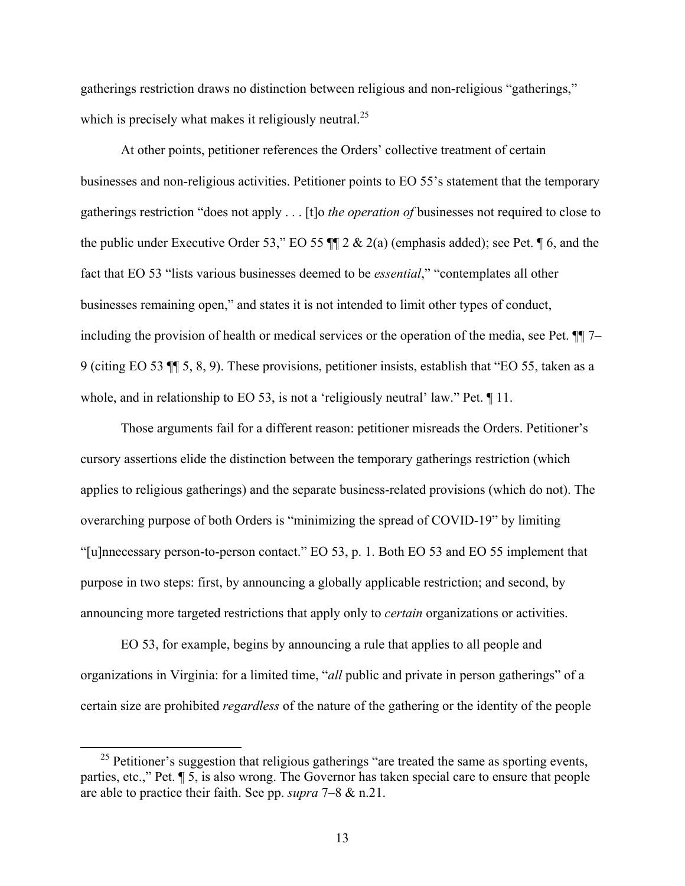gatherings restriction draws no distinction between religious and non-religious "gatherings," which is precisely what makes it religiously neutral.<sup>25</sup>

At other points, petitioner references the Orders' collective treatment of certain businesses and non-religious activities. Petitioner points to EO 55's statement that the temporary gatherings restriction "does not apply . . . [t]o *the operation of* businesses not required to close to the public under Executive Order 53," EO 55  $\P$  $2 \& 2(a)$  (emphasis added); see Pet.  $\P$  6, and the fact that EO 53 "lists various businesses deemed to be *essential*," "contemplates all other businesses remaining open," and states it is not intended to limit other types of conduct, including the provision of health or medical services or the operation of the media, see Pet. ¶¶ 7– 9 (citing EO 53 ¶¶ 5, 8, 9). These provisions, petitioner insists, establish that "EO 55, taken as a whole, and in relationship to EO 53, is not a 'religiously neutral' law." Pet.  $\P$  11.

Those arguments fail for a different reason: petitioner misreads the Orders. Petitioner's cursory assertions elide the distinction between the temporary gatherings restriction (which applies to religious gatherings) and the separate business-related provisions (which do not). The overarching purpose of both Orders is "minimizing the spread of COVID-19" by limiting "[u]nnecessary person-to-person contact." EO 53, p. 1. Both EO 53 and EO 55 implement that purpose in two steps: first, by announcing a globally applicable restriction; and second, by announcing more targeted restrictions that apply only to *certain* organizations or activities.

EO 53, for example, begins by announcing a rule that applies to all people and organizations in Virginia: for a limited time, "*all* public and private in person gatherings" of a certain size are prohibited *regardless* of the nature of the gathering or the identity of the people

 $25$  Petitioner's suggestion that religious gatherings "are treated the same as sporting events, parties, etc.," Pet. ¶ 5, is also wrong. The Governor has taken special care to ensure that people are able to practice their faith. See pp. *supra* 7‒8 & n.21.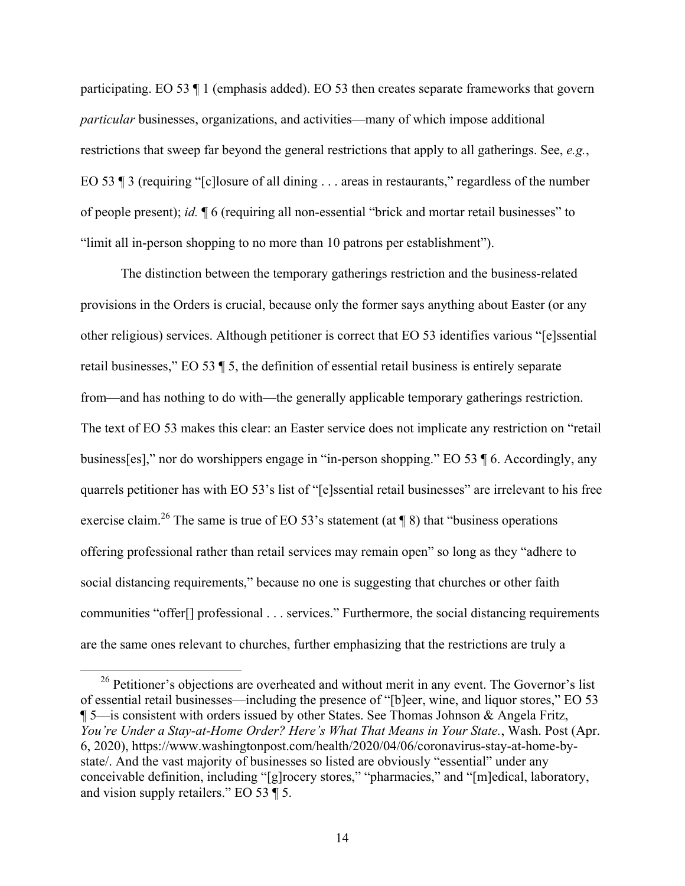participating. EO 53 ¶ 1 (emphasis added). EO 53 then creates separate frameworks that govern *particular* businesses, organizations, and activities—many of which impose additional restrictions that sweep far beyond the general restrictions that apply to all gatherings. See, *e.g.*, EO 53 ¶ 3 (requiring "[c] losure of all dining . . . areas in restaurants," regardless of the number of people present); *id.* ¶ 6 (requiring all non-essential "brick and mortar retail businesses" to "limit all in-person shopping to no more than 10 patrons per establishment").

The distinction between the temporary gatherings restriction and the business-related provisions in the Orders is crucial, because only the former says anything about Easter (or any other religious) services. Although petitioner is correct that EO 53 identifies various "[e]ssential retail businesses," EO 53 ¶ 5, the definition of essential retail business is entirely separate from—and has nothing to do with—the generally applicable temporary gatherings restriction. The text of EO 53 makes this clear: an Easter service does not implicate any restriction on "retail business[es]," nor do worshippers engage in "in-person shopping." EO 53 ¶ 6. Accordingly, any quarrels petitioner has with EO 53's list of "[e]ssential retail businesses" are irrelevant to his free exercise claim.<sup>26</sup> The same is true of EO 53's statement (at \| 8) that "business operations" offering professional rather than retail services may remain open" so long as they "adhere to social distancing requirements," because no one is suggesting that churches or other faith communities "offer[] professional . . . services." Furthermore, the social distancing requirements are the same ones relevant to churches, further emphasizing that the restrictions are truly a

 $26$  Petitioner's objections are overheated and without merit in any event. The Governor's list of essential retail businesses—including the presence of "[b]eer, wine, and liquor stores," EO 53 ¶ 5—is consistent with orders issued by other States. See Thomas Johnson & Angela Fritz, *You're Under a Stay-at-Home Order? Here's What That Means in Your State.*, Wash. Post (Apr. 6, 2020), https://www.washingtonpost.com/health/2020/04/06/coronavirus-stay-at-home-bystate/. And the vast majority of businesses so listed are obviously "essential" under any conceivable definition, including "[g]rocery stores," "pharmacies," and "[m]edical, laboratory, and vision supply retailers." EO 53 ¶ 5.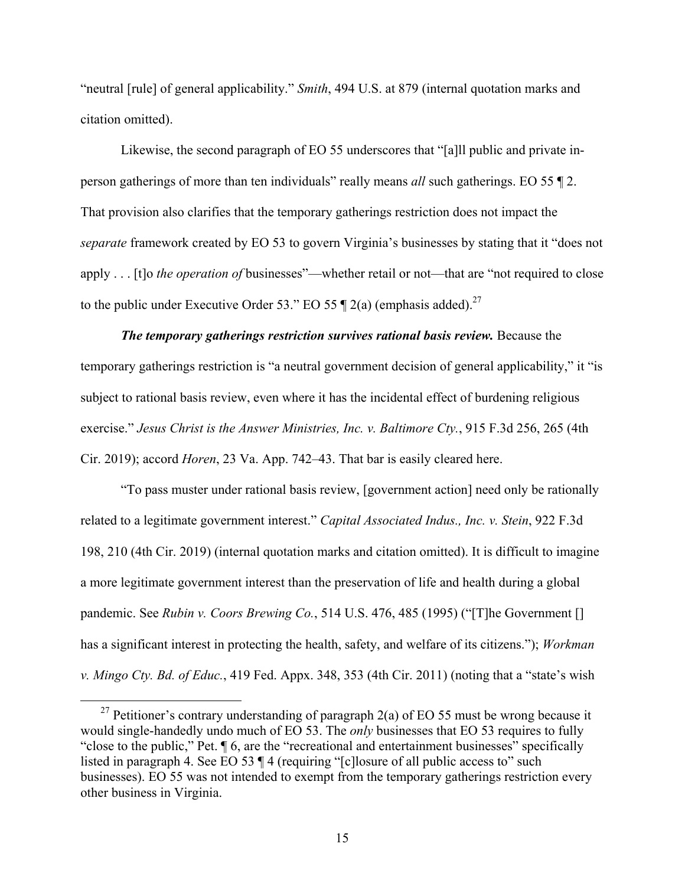"neutral [rule] of general applicability." *Smith*, 494 U.S. at 879 (internal quotation marks and citation omitted).

Likewise, the second paragraph of EO 55 underscores that "[a]ll public and private inperson gatherings of more than ten individuals" really means *all* such gatherings. EO 55 ¶ 2. That provision also clarifies that the temporary gatherings restriction does not impact the *separate* framework created by EO 53 to govern Virginia's businesses by stating that it "does not apply . . . [t]o *the operation of* businesses"—whether retail or not—that are "not required to close to the public under Executive Order 53." EO 55  $\P$  2(a) (emphasis added).<sup>27</sup>

*The temporary gatherings restriction survives rational basis review.* Because the temporary gatherings restriction is "a neutral government decision of general applicability," it "is subject to rational basis review, even where it has the incidental effect of burdening religious exercise." *Jesus Christ is the Answer Ministries, Inc. v. Baltimore Cty.*, 915 F.3d 256, 265 (4th Cir. 2019); accord *Horen*, 23 Va. App. 742–43. That bar is easily cleared here.

"To pass muster under rational basis review, [government action] need only be rationally related to a legitimate government interest." *Capital Associated Indus., Inc. v. Stein*, 922 F.3d 198, 210 (4th Cir. 2019) (internal quotation marks and citation omitted). It is difficult to imagine a more legitimate government interest than the preservation of life and health during a global pandemic. See *Rubin v. Coors Brewing Co.*, 514 U.S. 476, 485 (1995) ("[T]he Government [] has a significant interest in protecting the health, safety, and welfare of its citizens."); *Workman v. Mingo Cty. Bd. of Educ.*, 419 Fed. Appx. 348, 353 (4th Cir. 2011) (noting that a "state's wish

<sup>&</sup>lt;sup>27</sup> Petitioner's contrary understanding of paragraph 2(a) of EO 55 must be wrong because it would single-handedly undo much of EO 53. The *only* businesses that EO 53 requires to fully "close to the public," Pet. ¶ 6, are the "recreational and entertainment businesses" specifically listed in paragraph 4. See EO 53 ¶ 4 (requiring "[c]losure of all public access to" such businesses). EO 55 was not intended to exempt from the temporary gatherings restriction every other business in Virginia.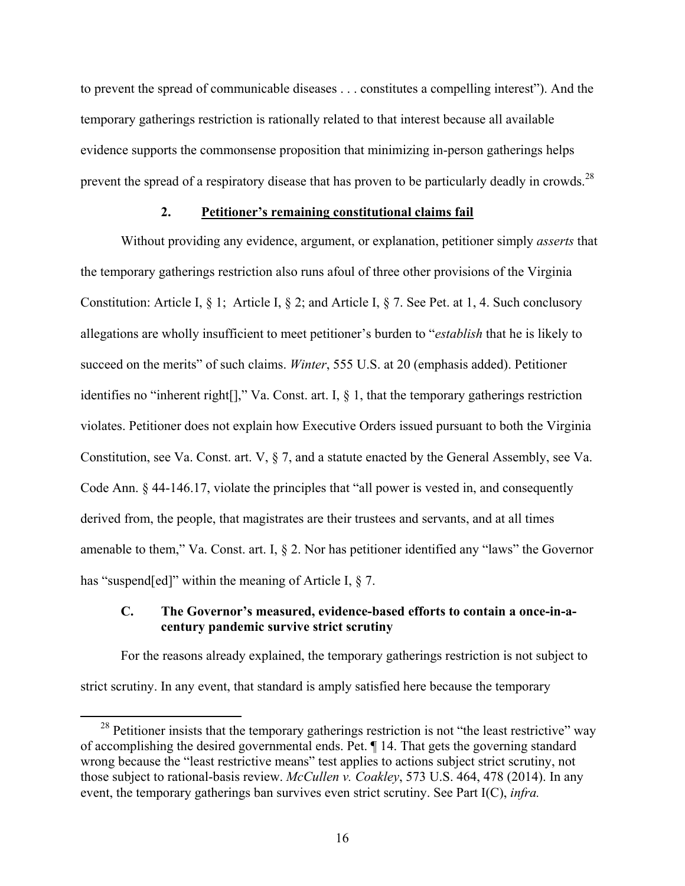to prevent the spread of communicable diseases . . . constitutes a compelling interest"). And the temporary gatherings restriction is rationally related to that interest because all available evidence supports the commonsense proposition that minimizing in-person gatherings helps prevent the spread of a respiratory disease that has proven to be particularly deadly in crowds.<sup>28</sup>

#### **2. Petitioner's remaining constitutional claims fail**

 Without providing any evidence, argument, or explanation, petitioner simply *asserts* that the temporary gatherings restriction also runs afoul of three other provisions of the Virginia Constitution: Article I, § 1; Article I, § 2; and Article I, § 7. See Pet. at 1, 4. Such conclusory allegations are wholly insufficient to meet petitioner's burden to "*establish* that he is likely to succeed on the merits" of such claims. *Winter*, 555 U.S. at 20 (emphasis added). Petitioner identifies no "inherent right[]," Va. Const. art. I, § 1, that the temporary gatherings restriction violates. Petitioner does not explain how Executive Orders issued pursuant to both the Virginia Constitution, see Va. Const. art. V, § 7, and a statute enacted by the General Assembly, see Va. Code Ann. § 44-146.17, violate the principles that "all power is vested in, and consequently derived from, the people, that magistrates are their trustees and servants, and at all times amenable to them," Va. Const. art. I, § 2. Nor has petitioner identified any "laws" the Governor has "suspend[ed]" within the meaning of Article I,  $\S$  7.

#### **C. The Governor's measured, evidence-based efforts to contain a once-in-acentury pandemic survive strict scrutiny**

For the reasons already explained, the temporary gatherings restriction is not subject to strict scrutiny. In any event, that standard is amply satisfied here because the temporary

<sup>&</sup>lt;sup>28</sup> Petitioner insists that the temporary gatherings restriction is not "the least restrictive" way of accomplishing the desired governmental ends. Pet. ¶ 14. That gets the governing standard wrong because the "least restrictive means" test applies to actions subject strict scrutiny, not those subject to rational-basis review. *McCullen v. Coakley*, 573 U.S. 464, 478 (2014). In any event, the temporary gatherings ban survives even strict scrutiny. See Part I(C), *infra.*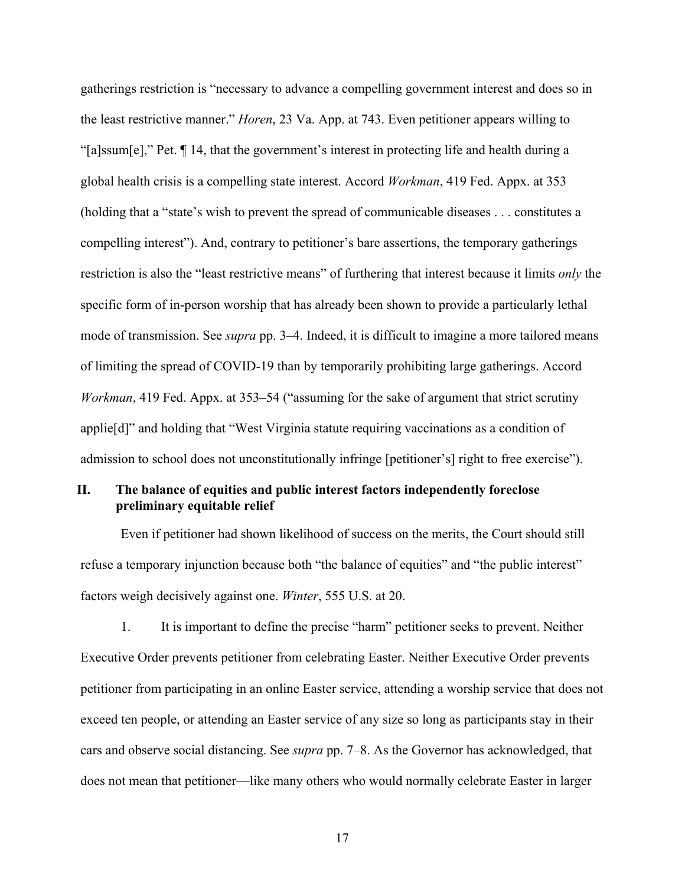gatherings restriction is "necessary to advance a compelling government interest and does so in the least restrictive manner." *Horen*, 23 Va. App. at 743. Even petitioner appears willing to "[a]ssum[e]," Pet. ¶ 14, that the government's interest in protecting life and health during a global health crisis is a compelling state interest. Accord *Workman*, 419 Fed. Appx. at 353 (holding that a "state's wish to prevent the spread of communicable diseases . . . constitutes a compelling interest"). And, contrary to petitioner's bare assertions, the temporary gatherings restriction is also the "least restrictive means" of furthering that interest because it limits *only* the specific form of in-person worship that has already been shown to provide a particularly lethal mode of transmission. See *supra* pp. 3–4. Indeed, it is difficult to imagine a more tailored means of limiting the spread of COVID-19 than by temporarily prohibiting large gatherings. Accord *Workman*, 419 Fed. Appx. at 353–54 ("assuming for the sake of argument that strict scrutiny applie[d]" and holding that "West Virginia statute requiring vaccinations as a condition of admission to school does not unconstitutionally infringe [petitioner's] right to free exercise").

## **II. The balance of equities and public interest factors independently foreclose preliminary equitable relief**

Even if petitioner had shown likelihood of success on the merits, the Court should still refuse a temporary injunction because both "the balance of equities" and "the public interest" factors weigh decisively against one. *Winter*, 555 U.S. at 20.

1. It is important to define the precise "harm" petitioner seeks to prevent. Neither Executive Order prevents petitioner from celebrating Easter. Neither Executive Order prevents petitioner from participating in an online Easter service, attending a worship service that does not exceed ten people, or attending an Easter service of any size so long as participants stay in their cars and observe social distancing. See *supra* pp. 7–8. As the Governor has acknowledged, that does not mean that petitioner—like many others who would normally celebrate Easter in larger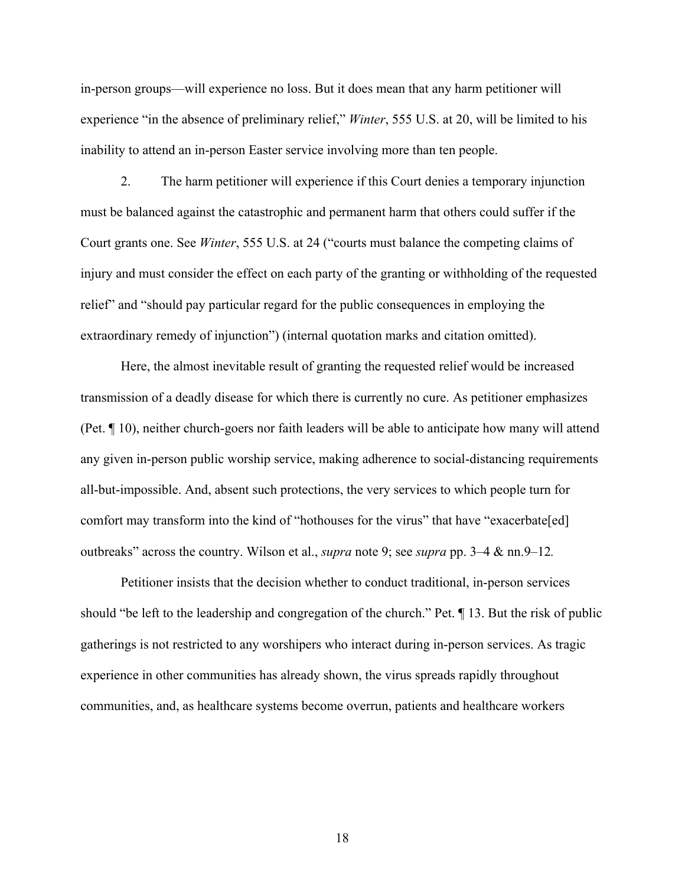in-person groups—will experience no loss. But it does mean that any harm petitioner will experience "in the absence of preliminary relief," *Winter*, 555 U.S. at 20, will be limited to his inability to attend an in-person Easter service involving more than ten people.

 2. The harm petitioner will experience if this Court denies a temporary injunction must be balanced against the catastrophic and permanent harm that others could suffer if the Court grants one. See *Winter*, 555 U.S. at 24 ("courts must balance the competing claims of injury and must consider the effect on each party of the granting or withholding of the requested relief" and "should pay particular regard for the public consequences in employing the extraordinary remedy of injunction") (internal quotation marks and citation omitted).

Here, the almost inevitable result of granting the requested relief would be increased transmission of a deadly disease for which there is currently no cure. As petitioner emphasizes (Pet. ¶ 10), neither church-goers nor faith leaders will be able to anticipate how many will attend any given in-person public worship service, making adherence to social-distancing requirements all-but-impossible. And, absent such protections, the very services to which people turn for comfort may transform into the kind of "hothouses for the virus" that have "exacerbate[ed] outbreaks" across the country. Wilson et al., *supra* note 9; see *supra* pp. 3–4 & nn.9–12*.* 

Petitioner insists that the decision whether to conduct traditional, in-person services should "be left to the leadership and congregation of the church." Pet. ¶ 13. But the risk of public gatherings is not restricted to any worshipers who interact during in-person services. As tragic experience in other communities has already shown, the virus spreads rapidly throughout communities, and, as healthcare systems become overrun, patients and healthcare workers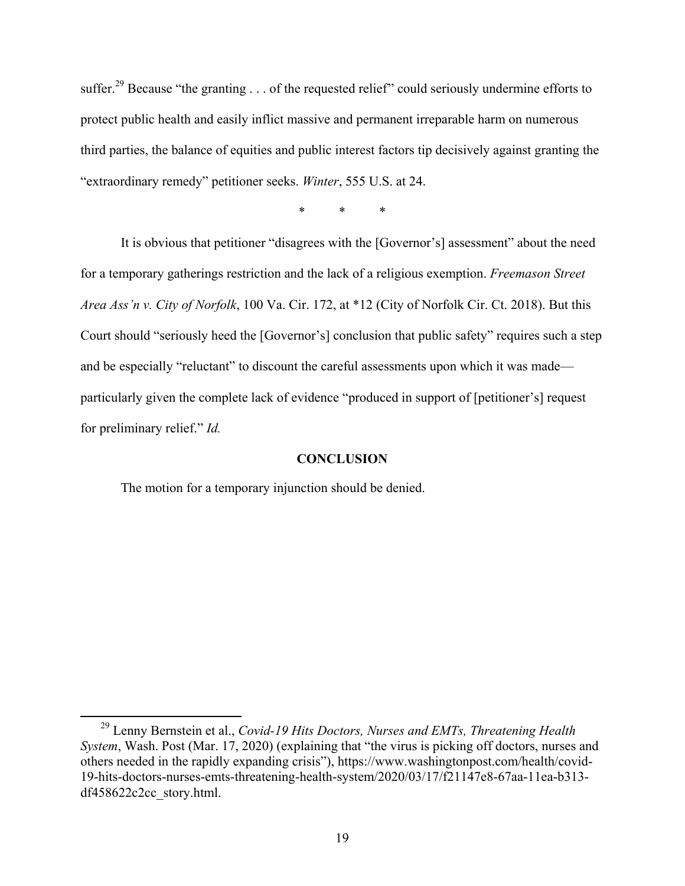suffer.<sup>29</sup> Because "the granting . . . of the requested relief" could seriously undermine efforts to protect public health and easily inflict massive and permanent irreparable harm on numerous third parties, the balance of equities and public interest factors tip decisively against granting the "extraordinary remedy" petitioner seeks. *Winter*, 555 U.S. at 24.

\* \* \*

It is obvious that petitioner "disagrees with the [Governor's] assessment" about the need for a temporary gatherings restriction and the lack of a religious exemption. *Freemason Street Area Ass'n v. City of Norfolk*, 100 Va. Cir. 172, at \*12 (City of Norfolk Cir. Ct. 2018). But this Court should "seriously heed the [Governor's] conclusion that public safety" requires such a step and be especially "reluctant" to discount the careful assessments upon which it was made particularly given the complete lack of evidence "produced in support of [petitioner's] request for preliminary relief." *Id.*

#### **CONCLUSION**

The motion for a temporary injunction should be denied.

 <sup>29</sup> Lenny Bernstein et al., *Covid-19 Hits Doctors, Nurses and EMTs, Threatening Health System*, Wash. Post (Mar. 17, 2020) (explaining that "the virus is picking off doctors, nurses and others needed in the rapidly expanding crisis"), https://www.washingtonpost.com/health/covid-19-hits-doctors-nurses-emts-threatening-health-system/2020/03/17/f21147e8-67aa-11ea-b313 df458622c2cc\_story.html.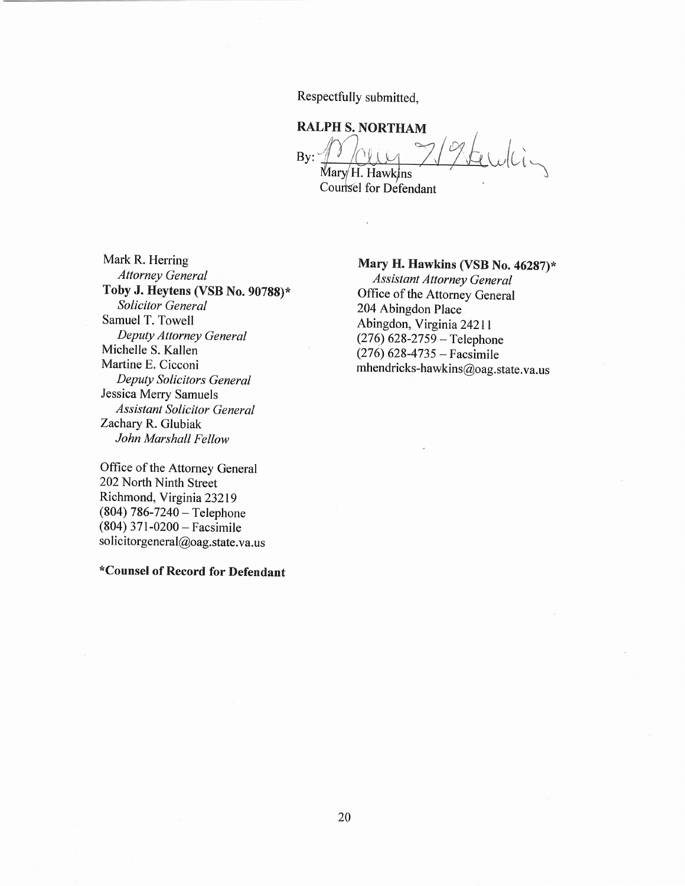Respectfully submitted,

## **RALPH S. NORTHAM**

whin  $Bv:$ Mary H. Hawkins

Counsel for Defendant

Mark R. Herring **Attorney General** Toby J. Heytens (VSB No. 90788)\* **Solicitor General** Samuel T. Towell Deputy Attorney General Michelle S. Kallen Martine E. Cicconi Deputy Solicitors General Jessica Merry Samuels **Assistant Solicitor General** Zachary R. Glubiak John Marshall Fellow

Office of the Attorney General 202 North Ninth Street Richmond, Virginia 23219  $(804) 786 - 7240 -$  Telephone  $(804)$  371-0200 – Facsimile solicitorgeneral@oag.state.va.us

\*Counsel of Record for Defendant

#### Mary H. Hawkins (VSB No. 46287)\*

**Assistant Attorney General** Office of the Attorney General 204 Abingdon Place Abingdon, Virginia 24211  $(276)$  628-2759 – Telephone  $(276)$  628-4735 – Facsimile mhendricks-hawkins@oag.state.va.us